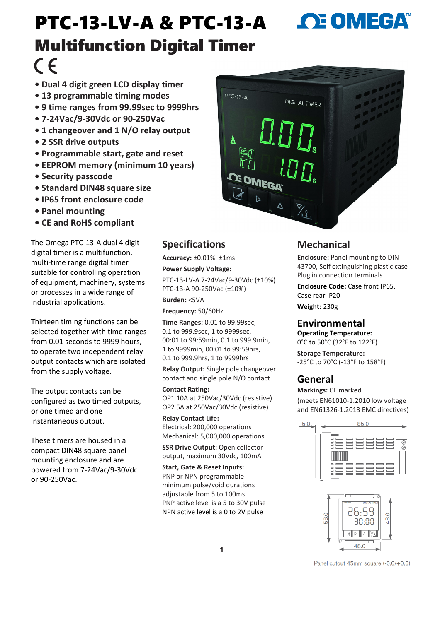# PTC-13-LV-A & PTC-13-A Multifunction Digital Timer  $\epsilon$

- **• Dual 4 digit green LCD display timer**
- **• 13 programmable timing modes**
- **• 9 time ranges from 99.99sec to 9999hrs**
- **• 7-24Vac/9-30Vdc or 90-250Vac**
- **• 1 changeover and 1 N/O relay output**
- **• 2 SSR drive outputs**
- **• Programmable start, gate and reset**
- **• EEPROM memory (minimum 10 years)**
- **• Security passcode**
- **• Standard DIN48 square size**
- **• IP65 front enclosure code**
- **• Panel mounting**
- **• CE and RoHS compliant**

The Omega PTC-13-A dual 4 digit digital timer is a multifunction, multi-time range digital timer suitable for controlling operation of equipment, machinery, systems or processes in a wide range of industrial applications.

Thirteen timing functions can be selected together with time ranges from 0.01 seconds to 9999 hours, to operate two independent relay output contacts which are isolated from the supply voltage.

The output contacts can be configured as two timed outputs, or one timed and one instantaneous output.

These timers are housed in a compact DIN48 square panel mounting enclosure and are powered from 7-24Vac/9-30Vdc or 90-250Vac.

# **Specifications**

**Accuracy:** ±0.01% ±1ms

**Power Supply Voltage:**  PTC-13-LV-A 7-24Vac/9-30Vdc (±10%) PTC-13-A 90-250Vac (±10%)

**Burden:** <5VA

**Frequency:** 50/60Hz

**Time Ranges:** 0.01 to 99.99sec, 0.1 to 999.9sec, 1 to 9999sec, 00:01 to 99:59min, 0.1 to 999.9min, 1 to 9999min, 00:01 to 99:59hrs, 0.1 to 999.9hrs, 1 to 9999hrs

**Relay Output:** Single pole changeover contact and single pole N/O contact

#### **Contact Rating:**

OP1 10A at 250Vac/30Vdc (resistive) OP2 5A at 250Vac/30Vdc (resistive)

**Relay Contact Life:**  Electrical: 200,000 operations Mechanical: 5,000,000 operations

**SSR Drive Output: Open collector** output, maximum 30Vdc, 100mA

**Start, Gate & Reset Inputs:**  PNP or NPN programmable minimum pulse/void durations adjustable from 5 to 100ms PNP active level is a 5 to 30V pulse NPN active level is a 0 to 2V pulse

# **Mechanical**

**Enclosure:** Panel mounting to DIN 43700, Self extinguishing plastic case Plug in connection terminals

**OE OMEGA** 

**Enclosure Code:** Case front IP65, Case rear IP20

**Weight:** 230g

## **Environmental**

**Operating Temperature:**  0°C to 50°C (32°F to 122°F)

**Storage Temperature:**  -25°C to 70°C (-13°F to 158°F)

## **General**

**Markings:** CE marked (meets EN61010-1:2010 low voltage and EN61326-1:2013 EMC directives)





Panel cutout 45mm square (-0.0/+0.6)